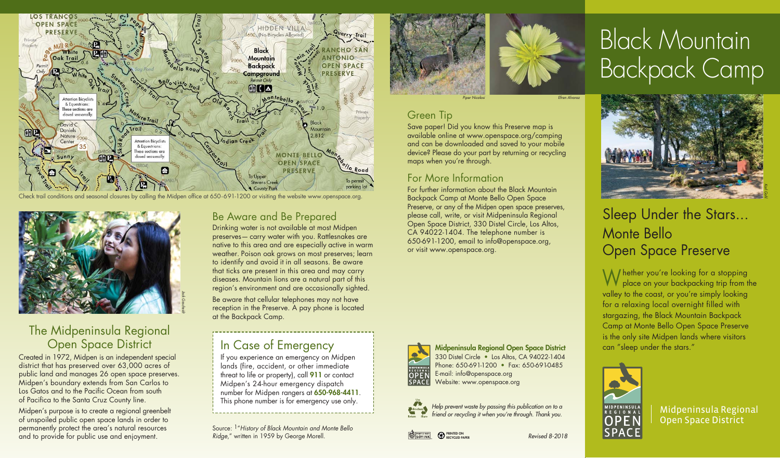

Check trail conditions and seasonal closures by calling the Midpen office at 650-691-1200 or visiting the website www.openspace.org.



# The Midpeninsula Regional Open Space District

Created in 1972, Midpen is an independent special district that has preserved over 63,000 acres of public land and manages 26 open space preserves. Midpen's boundary extends from San Carlos to Los Gatos and to the Pacific Ocean from south of Pacifica to the Santa Cruz County line.

Midpen's purpose is to create a regional greenbelt of unspoiled public open space lands in order to permanently protect the area's natural resources and to provide for public use and enjoyment.

### Be Aware and Be Prepared

Drinking water is not available at most Midpen preserves— carry water with you. Rattlesnakes are native to this area and are especially active in warm weather. Poison oak grows on most preserves; learn to identify and avoid it in all seasons. Be aware that ticks are present in this area and may carry diseases. Mountain lions are a natural part of this region's environment and are occasionally sighted.

Be aware that cellular telephones may not have reception in the Preserve. A pay phone is located at the Backpack Camp.

# In Case of Emergency

If you experience an emergency on Midpen lands (fire, accident, or other immediate threat to life or property), call **911** or contact Midpen's 24-hour emergency dispatch number for Midpen rangers at **650-968-4411**. This phone number is for emergency use only.

Source: 1"History of Black Mountain and Monte Bello Ridge," written in 1959 by George Morell.



maps when you're through.

For More Information

or visit www.openspace.org.

Save paper! Did you know this Preserve map is available online at www.openspace.org/camping and can be downloaded and saved to your mobile device? Please do your part by returning or recycling

For further information about the Black Mountain Backpack Camp at Monte Bello Open Space Preserve, or any of the Midpen open space preserves, please call, write, or visit Midpeninsula Regional Open Space District, 330 Distel Circle, Los Altos, CA 94022-1404. The telephone number is 650-691-1200, email to info@openspace.org,

Green Tip

Efren Alvare

# Black Mountain Backpack Camp



# Sleep Under the Stars... Monte Bello Open Space Preserve

Whether you're looking for a stopping place on your backpacking trip from the valley to the coast, or you're simply looking for a relaxing local overnight filled with stargazing, the Black Mountain Backpack Camp at Monte Bello Open Space Preserve is the only site Midpen lands where visitors can "sleep under the stars."



Midpeninsula Regional Open Space District

330 Distel Circle • Los Altos, CA 94022-1404 Phone: 650-691-1200 • Fax: 650-691-0485 E-mail: info@openspace.org Website: www.openspace.org

> **PRINTED ON RECYCLED PAPER**

Help prevent waste by passing this publication on to a friend or recycling it when you're through. Thank you.

**Midpeninsula Regional Open Space District**